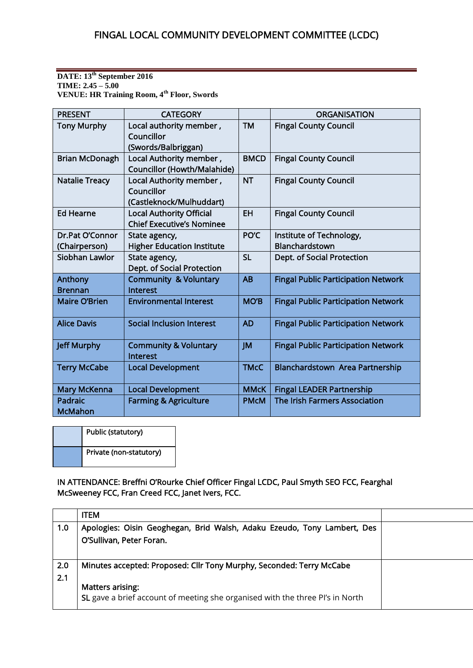## **DATE: 13th September 2016 TIME: 2.45 – 5.00 VENUE: HR Training Room, 4th Floor, Swords**

| <b>PRESENT</b>                   | <b>CATEGORY</b>                                                     |             | <b>ORGANISATION</b>                        |
|----------------------------------|---------------------------------------------------------------------|-------------|--------------------------------------------|
| <b>Tony Murphy</b>               | Local authority member,<br>Councillor<br>(Swords/Balbriggan)        | <b>TM</b>   | <b>Fingal County Council</b>               |
| <b>Brian McDonagh</b>            | Local Authority member,<br><b>Councillor (Howth/Malahide)</b>       | <b>BMCD</b> | <b>Fingal County Council</b>               |
| <b>Natalie Treacy</b>            | Local Authority member,<br>Councillor<br>(Castleknock/Mulhuddart)   | <b>NT</b>   | <b>Fingal County Council</b>               |
| <b>Ed Hearne</b>                 | <b>Local Authority Official</b><br><b>Chief Executive's Nominee</b> | EH          | <b>Fingal County Council</b>               |
| Dr.Pat O'Connor<br>(Chairperson) | State agency,<br><b>Higher Education Institute</b>                  | PO'C        | Institute of Technology,<br>Blanchardstown |
| Siobhan Lawlor                   | State agency,<br>Dept. of Social Protection                         | <b>SL</b>   | Dept. of Social Protection                 |
| Anthony<br><b>Brennan</b>        | <b>Community &amp; Voluntary</b><br><b>Interest</b>                 | AB          | <b>Fingal Public Participation Network</b> |
| Maire O'Brien                    | <b>Environmental Interest</b>                                       | <b>MO'B</b> | <b>Fingal Public Participation Network</b> |
| <b>Alice Davis</b>               | <b>Social Inclusion Interest</b>                                    | <b>AD</b>   | <b>Fingal Public Participation Network</b> |
| <b>Jeff Murphy</b>               | <b>Community &amp; Voluntary</b><br><b>Interest</b>                 | JM          | <b>Fingal Public Participation Network</b> |
| <b>Terry McCabe</b>              | <b>Local Development</b>                                            | <b>TMcC</b> | Blanchardstown Area Partnership            |
| Mary McKenna                     | <b>Local Development</b>                                            | <b>MMcK</b> | <b>Fingal LEADER Partnership</b>           |
| Padraic<br><b>McMahon</b>        | <b>Farming &amp; Agriculture</b>                                    | <b>PMcM</b> | The Irish Farmers Association              |

| Public (statutory)      |  |
|-------------------------|--|
| Private (non-statutory) |  |

IN ATTENDANCE: Breffni O'Rourke Chief Officer Fingal LCDC, Paul Smyth SEO FCC, Fearghal McSweeney FCC, Fran Creed FCC, Janet Ivers, FCC.

|     | <b>ITEM</b>                                                                   |  |
|-----|-------------------------------------------------------------------------------|--|
| 1.0 | Apologies: Oisin Geoghegan, Brid Walsh, Adaku Ezeudo, Tony Lambert, Des       |  |
|     | O'Sullivan, Peter Foran.                                                      |  |
|     |                                                                               |  |
| 2.0 | Minutes accepted: Proposed: Cllr Tony Murphy, Seconded: Terry McCabe          |  |
| 2.1 |                                                                               |  |
|     | Matters arising:                                                              |  |
|     | SL gave a brief account of meeting she organised with the three PI's in North |  |
|     |                                                                               |  |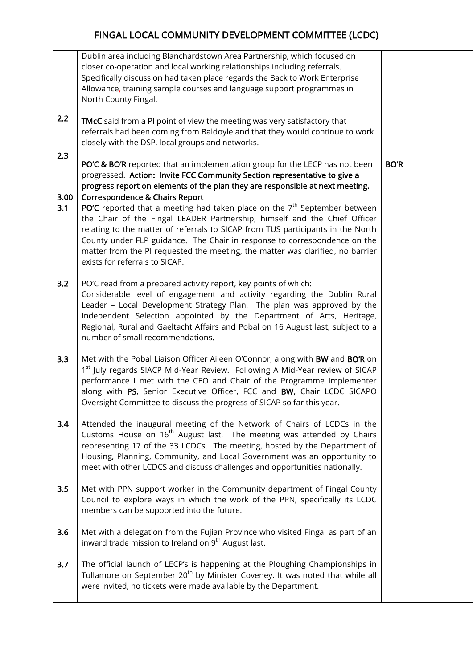## FINGAL LOCAL COMMUNITY DEVELOPMENT COMMITTEE (LCDC)

|             | Dublin area including Blanchardstown Area Partnership, which focused on<br>closer co-operation and local working relationships including referrals.<br>Specifically discussion had taken place regards the Back to Work Enterprise<br>Allowance, training sample courses and language support programmes in<br>North County Fingal.                                                                                                                                                              |             |
|-------------|--------------------------------------------------------------------------------------------------------------------------------------------------------------------------------------------------------------------------------------------------------------------------------------------------------------------------------------------------------------------------------------------------------------------------------------------------------------------------------------------------|-------------|
| 2.2         | TMcC said from a PI point of view the meeting was very satisfactory that<br>referrals had been coming from Baldoyle and that they would continue to work<br>closely with the DSP, local groups and networks.                                                                                                                                                                                                                                                                                     |             |
| 2.3         | PO'C & BO'R reported that an implementation group for the LECP has not been<br>progressed. Action: Invite FCC Community Section representative to give a<br>progress report on elements of the plan they are responsible at next meeting.                                                                                                                                                                                                                                                        | <b>BO'R</b> |
| 3.00<br>3.1 | <b>Correspondence &amp; Chairs Report</b><br><b>PO'C</b> reported that a meeting had taken place on the $7th$ September between<br>the Chair of the Fingal LEADER Partnership, himself and the Chief Officer<br>relating to the matter of referrals to SICAP from TUS participants in the North<br>County under FLP guidance. The Chair in response to correspondence on the<br>matter from the PI requested the meeting, the matter was clarified, no barrier<br>exists for referrals to SICAP. |             |
| 3.2         | PO'C read from a prepared activity report, key points of which:<br>Considerable level of engagement and activity regarding the Dublin Rural<br>Leader - Local Development Strategy Plan. The plan was approved by the<br>Independent Selection appointed by the Department of Arts, Heritage,<br>Regional, Rural and Gaeltacht Affairs and Pobal on 16 August last, subject to a<br>number of small recommendations.                                                                             |             |
| 3.3         | Met with the Pobal Liaison Officer Aileen O'Connor, along with BW and BO'R on<br>1st July regards SIACP Mid-Year Review. Following A Mid-Year review of SICAP<br>performance I met with the CEO and Chair of the Programme Implementer<br>along with PS, Senior Executive Officer, FCC and BW, Chair LCDC SICAPO<br>Oversight Committee to discuss the progress of SICAP so far this year.                                                                                                       |             |
| 3.4         | Attended the inaugural meeting of the Network of Chairs of LCDCs in the<br>Customs House on 16 <sup>th</sup> August last. The meeting was attended by Chairs<br>representing 17 of the 33 LCDCs. The meeting, hosted by the Department of<br>Housing, Planning, Community, and Local Government was an opportunity to<br>meet with other LCDCS and discuss challenges and opportunities nationally.                                                                                              |             |
| 3.5         | Met with PPN support worker in the Community department of Fingal County<br>Council to explore ways in which the work of the PPN, specifically its LCDC<br>members can be supported into the future.                                                                                                                                                                                                                                                                                             |             |
| 3.6         | Met with a delegation from the Fujian Province who visited Fingal as part of an<br>inward trade mission to Ireland on 9 <sup>th</sup> August last.                                                                                                                                                                                                                                                                                                                                               |             |
| 3.7         | The official launch of LECP's is happening at the Ploughing Championships in<br>Tullamore on September 20 <sup>th</sup> by Minister Coveney. It was noted that while all<br>were invited, no tickets were made available by the Department.                                                                                                                                                                                                                                                      |             |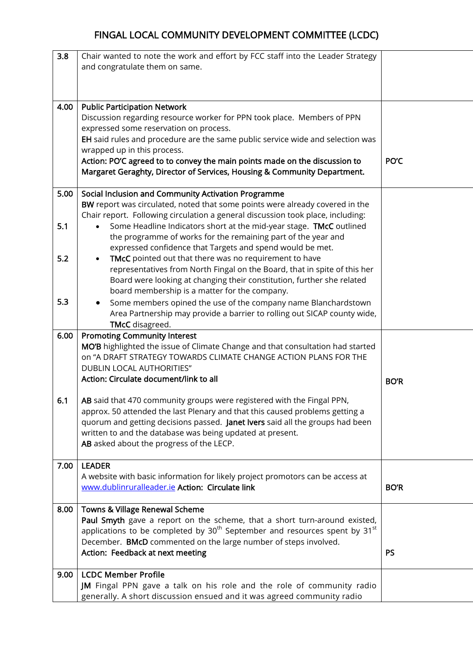## FINGAL LOCAL COMMUNITY DEVELOPMENT COMMITTEE (LCDC)

| 3.8  | Chair wanted to note the work and effort by FCC staff into the Leader Strategy       |             |
|------|--------------------------------------------------------------------------------------|-------------|
|      | and congratulate them on same.                                                       |             |
|      |                                                                                      |             |
|      |                                                                                      |             |
| 4.00 | <b>Public Participation Network</b>                                                  |             |
|      | Discussion regarding resource worker for PPN took place. Members of PPN              |             |
|      | expressed some reservation on process.                                               |             |
|      | EH said rules and procedure are the same public service wide and selection was       |             |
|      | wrapped up in this process.                                                          |             |
|      | Action: PO'C agreed to to convey the main points made on the discussion to           | PO'C        |
|      | Margaret Geraghty, Director of Services, Housing & Community Department.             |             |
|      |                                                                                      |             |
| 5.00 | Social Inclusion and Community Activation Programme                                  |             |
|      | BW report was circulated, noted that some points were already covered in the         |             |
|      | Chair report. Following circulation a general discussion took place, including:      |             |
| 5.1  | Some Headline Indicators short at the mid-year stage. TMcC outlined                  |             |
|      | the programme of works for the remaining part of the year and                        |             |
|      | expressed confidence that Targets and spend would be met.                            |             |
| 5.2  | TMcC pointed out that there was no requirement to have                               |             |
|      | representatives from North Fingal on the Board, that in spite of this her            |             |
|      | Board were looking at changing their constitution, further she related               |             |
|      | board membership is a matter for the company.                                        |             |
| 5.3  | Some members opined the use of the company name Blanchardstown                       |             |
|      | Area Partnership may provide a barrier to rolling out SICAP county wide,             |             |
| 6.00 | <b>TMcC</b> disagreed.<br><b>Promoting Community Interest</b>                        |             |
|      | MO'B highlighted the issue of Climate Change and that consultation had started       |             |
|      | on "A DRAFT STRATEGY TOWARDS CLIMATE CHANGE ACTION PLANS FOR THE                     |             |
|      | DUBLIN LOCAL AUTHORITIES"                                                            |             |
|      | Action: Circulate document/link to all                                               |             |
|      |                                                                                      | <b>BO'R</b> |
| 6.1  | AB said that 470 community groups were registered with the Fingal PPN,               |             |
|      | approx. 50 attended the last Plenary and that this caused problems getting a         |             |
|      | quorum and getting decisions passed. Janet Ivers said all the groups had been        |             |
|      | written to and the database was being updated at present.                            |             |
|      | AB asked about the progress of the LECP.                                             |             |
|      |                                                                                      |             |
| 7.00 | <b>LEADER</b>                                                                        |             |
|      | A website with basic information for likely project promotors can be access at       |             |
|      | www.dublinruralleader.ie Action: Circulate link                                      | <b>BO'R</b> |
| 8.00 | Towns & Village Renewal Scheme                                                       |             |
|      | Paul Smyth gave a report on the scheme, that a short turn-around existed,            |             |
|      | applications to be completed by $30^{th}$ September and resources spent by $31^{st}$ |             |
|      | December. BMcD commented on the large number of steps involved.                      |             |
|      | Action: Feedback at next meeting                                                     | <b>PS</b>   |
|      |                                                                                      |             |
| 9.00 | <b>LCDC Member Profile</b>                                                           |             |
|      | JM Fingal PPN gave a talk on his role and the role of community radio                |             |
|      | generally. A short discussion ensued and it was agreed community radio               |             |